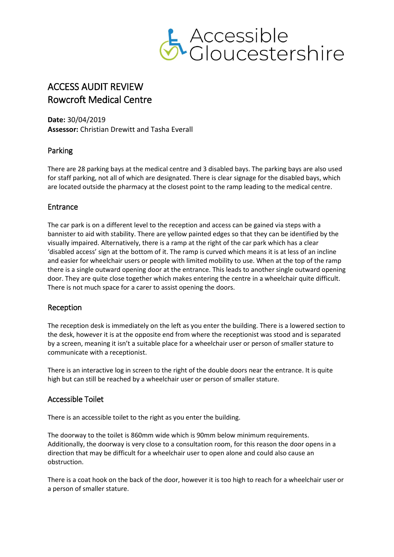

# ACCESS AUDIT REVIEW Rowcroft Medical Centre

**Date:** 30/04/2019 **Assessor:** Christian Drewitt and Tasha Everall

# Parking

There are 28 parking bays at the medical centre and 3 disabled bays. The parking bays are also used for staff parking, not all of which are designated. There is clear signage for the disabled bays, which are located outside the pharmacy at the closest point to the ramp leading to the medical centre.

# Entrance

The car park is on a different level to the reception and access can be gained via steps with a bannister to aid with stability. There are yellow painted edges so that they can be identified by the visually impaired. Alternatively, there is a ramp at the right of the car park which has a clear 'disabled access' sign at the bottom of it. The ramp is curved which means it is at less of an incline and easier for wheelchair users or people with limited mobility to use. When at the top of the ramp there is a single outward opening door at the entrance. This leads to another single outward opening door. They are quite close together which makes entering the centre in a wheelchair quite difficult. There is not much space for a carer to assist opening the doors.

# Reception

The reception desk is immediately on the left as you enter the building. There is a lowered section to the desk, however it is at the opposite end from where the receptionist was stood and is separated by a screen, meaning it isn't a suitable place for a wheelchair user or person of smaller stature to communicate with a receptionist.

There is an interactive log in screen to the right of the double doors near the entrance. It is quite high but can still be reached by a wheelchair user or person of smaller stature.

# Accessible Toilet

There is an accessible toilet to the right as you enter the building.

The doorway to the toilet is 860mm wide which is 90mm below minimum requirements. Additionally, the doorway is very close to a consultation room, for this reason the door opens in a direction that may be difficult for a wheelchair user to open alone and could also cause an obstruction.

There is a coat hook on the back of the door, however it is too high to reach for a wheelchair user or a person of smaller stature.